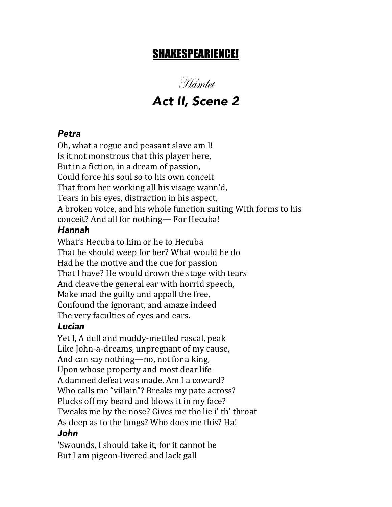# SHAKESPEARIENCE!

Hamlet *Act II, Scene 2*

#### *Petra*

Oh, what a rogue and peasant slave am I! Is it not monstrous that this player here, But in a fiction, in a dream of passion, Could force his soul so to his own conceit That from her working all his visage wann'd, Tears in his eyes, distraction in his aspect, A broken voice, and his whole function suiting With forms to his conceit? And all for nothing— For Hecuba!

#### *Hannah*

What's Hecuba to him or he to Hecuba That he should weep for her? What would he do Had he the motive and the cue for passion That I have? He would drown the stage with tears And cleave the general ear with horrid speech, Make mad the guilty and appall the free, Confound the ignorant, and amaze indeed The very faculties of eyes and ears.

#### *Lucian*

Yet I, A dull and muddy-mettled rascal, peak Like John-a-dreams, unpregnant of my cause, And can say nothing—no, not for a king, Upon whose property and most dear life A damned defeat was made. Am I a coward? Who calls me "villain"? Breaks my pate across? Plucks off my beard and blows it in my face? Tweaks me by the nose? Gives me the lie i' th' throat As deep as to the lungs? Who does me this? Ha! *John*

'Swounds, I should take it, for it cannot be But I am pigeon-livered and lack gall